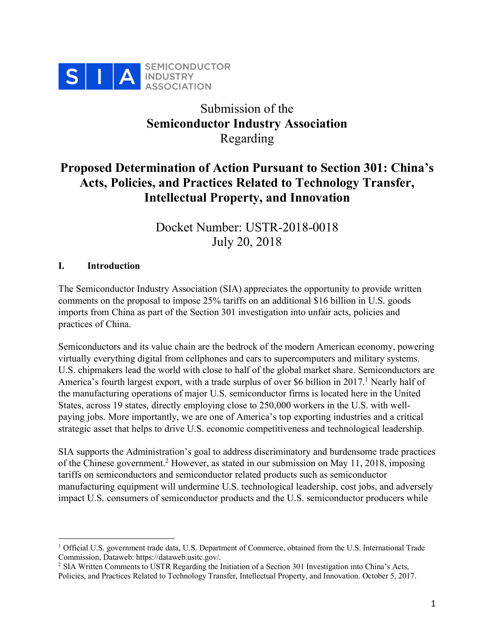

# Submission of the **Semiconductor Industry Association**  Regarding

# **Proposed Determination of Action Pursuant to Section 301: China's Acts, Policies, and Practices Related to Technology Transfer, Intellectual Property, and Innovation**

Docket Number: USTR-2018-0018 July 20, 2018

## **I. Introduction**

The Semiconductor Industry Association (SIA) appreciates the opportunity to provide written comments on the proposal to impose 25% tariffs on an additional \$16 billion in U.S. goods imports from China as part of the Section 301 investigation into unfair acts, policies and practices of China.

Semiconductors and its value chain are the bedrock of the modern American economy, powering virtually everything digital from cellphones and cars to supercomputers and military systems. U.S. chipmakers lead the world with close to half of the global market share. Semiconductors are America's fourth largest export, with a trade surplus of over \$6 billion in 2017. <sup>1</sup> Nearly half of the manufacturing operations of major U.S. semiconductor firms is located here in the United States, across 19 states, directly employing close to 250,000 workers in the U.S. with wellpaying jobs. More importantly, we are one of America's top exporting industries and a critical strategic asset that helps to drive U.S. economic competitiveness and technological leadership.

SIA supports the Administration's goal to address discriminatory and burdensome trade practices of the Chinese government. <sup>2</sup> However, as stated in our submission on May 11, 2018, imposing tariffs on semiconductors and semiconductor related products such as semiconductor manufacturing equipment will undermine U.S. technological leadership, cost jobs, and adversely impact U.S. consumers of semiconductor products and the U.S. semiconductor producers while

<sup>&</sup>lt;sup>1</sup> Official U.S. government trade data, U.S. Department of Commerce, obtained from the U.S. International Trade Commission, Dataweb: https://dataweb.usitc.gov/.

<sup>2</sup> SIA Written Comments to USTR Regarding the Initiation of a Section 301 Investigation into China's Acts, Policies, and Practices Related to Technology Transfer, Intellectual Property, and Innovation. October 5, 2017.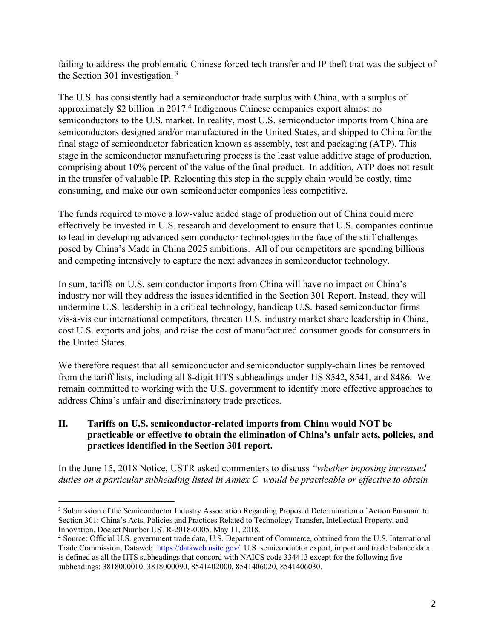failing to address the problematic Chinese forced tech transfer and IP theft that was the subject of the Section 301 investigation. <sup>3</sup>

The U.S. has consistently had a semiconductor trade surplus with China, with a surplus of approximately \$2 billion in 2017. <sup>4</sup> Indigenous Chinese companies export almost no semiconductors to the U.S. market. In reality, most U.S. semiconductor imports from China are semiconductors designed and/or manufactured in the United States, and shipped to China for the final stage of semiconductor fabrication known as assembly, test and packaging (ATP). This stage in the semiconductor manufacturing process is the least value additive stage of production, comprising about 10% percent of the value of the final product. In addition, ATP does not result in the transfer of valuable IP. Relocating this step in the supply chain would be costly, time consuming, and make our own semiconductor companies less competitive.

The funds required to move a low-value added stage of production out of China could more effectively be invested in U.S. research and development to ensure that U.S. companies continue to lead in developing advanced semiconductor technologies in the face of the stiff challenges posed by China's Made in China 2025 ambitions. All of our competitors are spending billions and competing intensively to capture the next advances in semiconductor technology.

In sum, tariffs on U.S. semiconductor imports from China will have no impact on China's industry nor will they address the issues identified in the Section 301 Report. Instead, they will undermine U.S. leadership in a critical technology, handicap U.S.-based semiconductor firms vis-à-vis our international competitors, threaten U.S. industry market share leadership in China, cost U.S. exports and jobs, and raise the cost of manufactured consumer goods for consumers in the United States.

We therefore request that all semiconductor and semiconductor supply-chain lines be removed from the tariff lists, including all 8-digit HTS subheadings under HS 8542, 8541, and 8486. We remain committed to working with the U.S. government to identify more effective approaches to address China's unfair and discriminatory trade practices.

## **II. Tariffs on U.S. semiconductor-related imports from China would NOT be practicable or effective to obtain the elimination of China's unfair acts, policies, and practices identified in the Section 301 report.**

In the June 15, 2018 Notice, USTR asked commenters to discuss *"whether imposing increased duties on a particular subheading listed in Annex C would be practicable or effective to obtain* 

<sup>&</sup>lt;sup>3</sup> Submission of the Semiconductor Industry Association Regarding Proposed Determination of Action Pursuant to Section 301: China's Acts, Policies and Practices Related to Technology Transfer, Intellectual Property, and Innovation. Docket Number USTR-2018-0005. May 11, 2018.

<sup>&</sup>lt;sup>4</sup> Source: Official U.S. government trade data, U.S. Department of Commerce, obtained from the U.S. International Trade Commission, Dataweb: https://dataweb.usitc.gov/. U.S. semiconductor export, import and trade balance data is defined as all the HTS subheadings that concord with NAICS code 334413 except for the following five subheadings: 3818000010, 3818000090, 8541402000, 8541406020, 8541406030.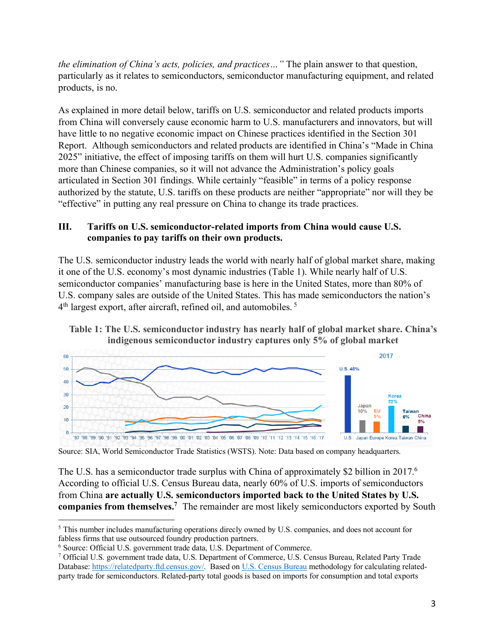*the elimination of China's acts, policies, and practices…"* The plain answer to that question, particularly as it relates to semiconductors, semiconductor manufacturing equipment, and related products, is no.

As explained in more detail below, tariffs on U.S. semiconductor and related products imports from China will conversely cause economic harm to U.S. manufacturers and innovators, but will have little to no negative economic impact on Chinese practices identified in the Section 301 Report. Although semiconductors and related products are identified in China's "Made in China 2025" initiative, the effect of imposing tariffs on them will hurt U.S. companies significantly more than Chinese companies, so it will not advance the Administration's policy goals articulated in Section 301 findings. While certainly "feasible" in terms of a policy response authorized by the statute, U.S. tariffs on these products are neither "appropriate" nor will they be "effective" in putting any real pressure on China to change its trade practices.

#### **III. Tariffs on U.S. semiconductor-related imports from China would cause U.S. companies to pay tariffs on their own products.**

The U.S. semiconductor industry leads the world with nearly half of global market share, making it one of the U.S. economy's most dynamic industries (Table 1). While nearly half of U.S. semiconductor companies' manufacturing base is here in the United States, more than 80% of U.S. company sales are outside of the United States. This has made semiconductors the nation's 4<sup>th</sup> largest export, after aircraft, refined oil, and automobiles.<sup>5</sup>





Source: SIA, World Semiconductor Trade Statistics (WSTS). Note: Data based on company headquarters.

The U.S. has a semiconductor trade surplus with China of approximately \$2 billion in 2017.<sup>6</sup> According to official U.S. Census Bureau data, nearly 60% of U.S. imports of semiconductors from China **are actually U.S. semiconductors imported back to the United States by U.S. companies from themselves.7** The remainder are most likely semiconductors exported by South

 <sup>5</sup> This number includes manufacturing operations direcly owned by U.S. companies, and does not account for fabless firms that use outsourced foundry production partners.

<sup>6</sup> Source: Official U.S. government trade data, U.S. Department of Commerce.

<sup>7</sup> Official U.S. government trade data, U.S. Department of Commerce, U.S. Census Bureau, Related Party Trade Database: https://relatedparty.ftd.census.gov/. Based on U.S. Census Bureau methodology for calculating relatedparty trade for semiconductors. Related-party total goods is based on imports for consumption and total exports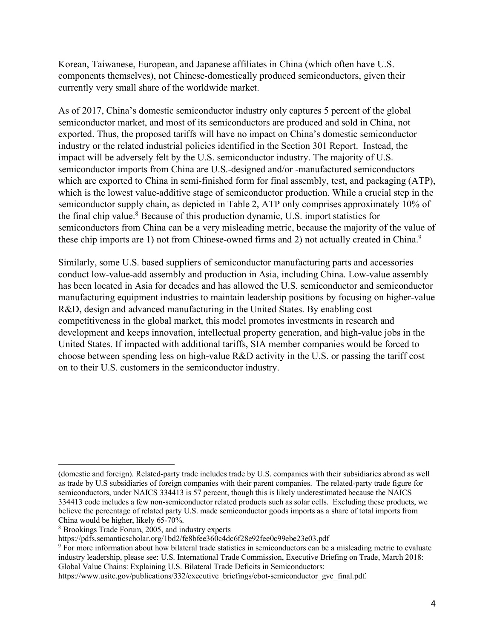Korean, Taiwanese, European, and Japanese affiliates in China (which often have U.S. components themselves), not Chinese-domestically produced semiconductors, given their currently very small share of the worldwide market.

As of 2017, China's domestic semiconductor industry only captures 5 percent of the global semiconductor market, and most of its semiconductors are produced and sold in China, not exported. Thus, the proposed tariffs will have no impact on China's domestic semiconductor industry or the related industrial policies identified in the Section 301 Report. Instead, the impact will be adversely felt by the U.S. semiconductor industry. The majority of U.S. semiconductor imports from China are U.S.-designed and/or -manufactured semiconductors which are exported to China in semi-finished form for final assembly, test, and packaging (ATP), which is the lowest value-additive stage of semiconductor production. While a crucial step in the semiconductor supply chain, as depicted in Table 2, ATP only comprises approximately 10% of the final chip value.8 Because of this production dynamic, U.S. import statistics for semiconductors from China can be a very misleading metric, because the majority of the value of these chip imports are 1) not from Chinese-owned firms and 2) not actually created in China.<sup>9</sup>

Similarly, some U.S. based suppliers of semiconductor manufacturing parts and accessories conduct low-value-add assembly and production in Asia, including China. Low-value assembly has been located in Asia for decades and has allowed the U.S. semiconductor and semiconductor manufacturing equipment industries to maintain leadership positions by focusing on higher-value R&D, design and advanced manufacturing in the United States. By enabling cost competitiveness in the global market, this model promotes investments in research and development and keeps innovation, intellectual property generation, and high-value jobs in the United States. If impacted with additional tariffs, SIA member companies would be forced to choose between spending less on high-value R&D activity in the U.S. or passing the tariff cost on to their U.S. customers in the semiconductor industry.

 $\overline{a}$ 

<sup>(</sup>domestic and foreign). Related-party trade includes trade by U.S. companies with their subsidiaries abroad as well as trade by U.S subsidiaries of foreign companies with their parent companies. The related-party trade figure for semiconductors, under NAICS 334413 is 57 percent, though this is likely underestimated because the NAICS 334413 code includes a few non-semiconductor related products such as solar cells. Excluding these products, we believe the percentage of related party U.S. made semiconductor goods imports as a share of total imports from China would be higher, likely 65-70%. 8 Brookings Trade Forum, 2005, and industry experts

https://pdfs.semanticscholar.org/1bd2/fe8bfee360c4dc6f28e92fee0c99ebe23e03.pdf

<sup>9</sup> For more information about how bilateral trade statistics in semiconductors can be a misleading metric to evaluate industry leadership, please see: U.S. International Trade Commission, Executive Briefing on Trade, March 2018: Global Value Chains: Explaining U.S. Bilateral Trade Deficits in Semiconductors:

https://www.usitc.gov/publications/332/executive\_briefings/ebot-semiconductor\_gvc\_final.pdf.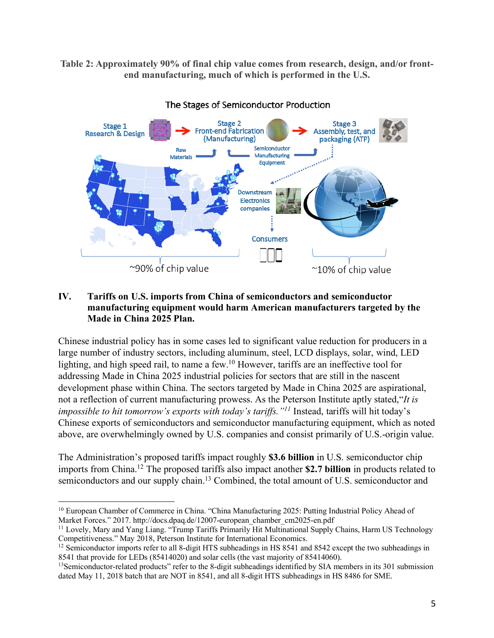**Table 2: Approximately 90% of final chip value comes from research, design, and/or frontend manufacturing, much of which is performed in the U.S.** 

![](_page_4_Figure_1.jpeg)

The Stages of Semiconductor Production

#### **IV. Tariffs on U.S. imports from China of semiconductors and semiconductor manufacturing equipment would harm American manufacturers targeted by the Made in China 2025 Plan.**

Chinese industrial policy has in some cases led to significant value reduction for producers in a large number of industry sectors, including aluminum, steel, LCD displays, solar, wind, LED lighting, and high speed rail, to name a few.10 However, tariffs are an ineffective tool for addressing Made in China 2025 industrial policies for sectors that are still in the nascent development phase within China. The sectors targeted by Made in China 2025 are aspirational, not a reflection of current manufacturing prowess. As the Peterson Institute aptly stated,"*It is impossible to hit tomorrow's exports with today's tariffs."11* Instead, tariffs will hit today's Chinese exports of semiconductors and semiconductor manufacturing equipment, which as noted above, are overwhelmingly owned by U.S. companies and consist primarily of U.S.-origin value.

The Administration's proposed tariffs impact roughly **\$3.6 billion** in U.S. semiconductor chip imports from China.12 The proposed tariffs also impact another **\$2.7 billion** in products related to semiconductors and our supply chain.<sup>13</sup> Combined, the total amount of U.S. semiconductor and

<sup>&</sup>lt;sup>10</sup> European Chamber of Commerce in China. "China Manufacturing 2025: Putting Industrial Policy Ahead of Market Forces." 2017. http://docs.dpaq.de/12007-european\_chamber\_cm2025-en.pdf

<sup>&</sup>lt;sup>11</sup> Lovely, Mary and Yang Liang. "Trump Tariffs Primarily Hit Multinational Supply Chains, Harm US Technology Competitiveness." May 2018, Peterson Institute for International Economics.

<sup>&</sup>lt;sup>12</sup> Semiconductor imports refer to all 8-digit HTS subheadings in HS 8541 and 8542 except the two subheadings in 8541 that provide for LEDs (85414020) and solar cells (the vast majority of 85414060).

<sup>&</sup>lt;sup>13</sup>Semiconductor-related products" refer to the 8-digit subheadings identified by SIA members in its 301 submission dated May 11, 2018 batch that are NOT in 8541, and all 8-digit HTS subheadings in HS 8486 for SME.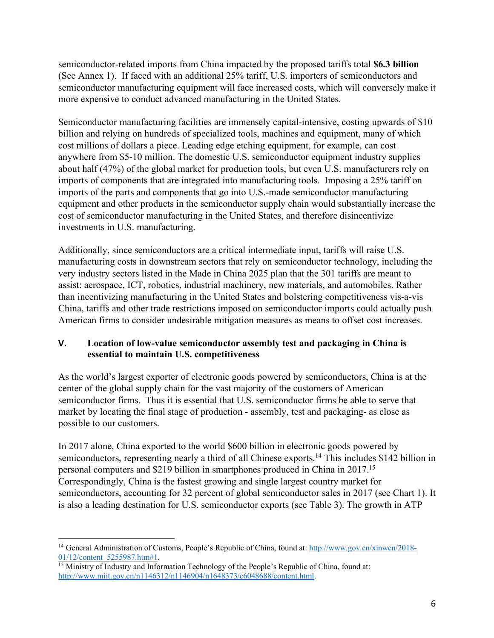semiconductor-related imports from China impacted by the proposed tariffs total **\$6.3 billion** (See Annex 1). If faced with an additional 25% tariff, U.S. importers of semiconductors and semiconductor manufacturing equipment will face increased costs, which will conversely make it more expensive to conduct advanced manufacturing in the United States.

Semiconductor manufacturing facilities are immensely capital-intensive, costing upwards of \$10 billion and relying on hundreds of specialized tools, machines and equipment, many of which cost millions of dollars a piece. Leading edge etching equipment, for example, can cost anywhere from \$5-10 million. The domestic U.S. semiconductor equipment industry supplies about half (47%) of the global market for production tools, but even U.S. manufacturers rely on imports of components that are integrated into manufacturing tools. Imposing a 25% tariff on imports of the parts and components that go into U.S.-made semiconductor manufacturing equipment and other products in the semiconductor supply chain would substantially increase the cost of semiconductor manufacturing in the United States, and therefore disincentivize investments in U.S. manufacturing.

Additionally, since semiconductors are a critical intermediate input, tariffs will raise U.S. manufacturing costs in downstream sectors that rely on semiconductor technology, including the very industry sectors listed in the Made in China 2025 plan that the 301 tariffs are meant to assist: aerospace, ICT, robotics, industrial machinery, new materials, and automobiles. Rather than incentivizing manufacturing in the United States and bolstering competitiveness vis-a-vis China, tariffs and other trade restrictions imposed on semiconductor imports could actually push American firms to consider undesirable mitigation measures as means to offset cost increases.

## **V. Location of low-value semiconductor assembly test and packaging in China is essential to maintain U.S. competitiveness**

As the world's largest exporter of electronic goods powered by semiconductors, China is at the center of the global supply chain for the vast majority of the customers of American semiconductor firms. Thus it is essential that U.S. semiconductor firms be able to serve that market by locating the final stage of production - assembly, test and packaging- as close as possible to our customers.

In 2017 alone, China exported to the world \$600 billion in electronic goods powered by semiconductors, representing nearly a third of all Chinese exports.<sup>14</sup> This includes \$142 billion in personal computers and \$219 billion in smartphones produced in China in 2017.15 Correspondingly, China is the fastest growing and single largest country market for semiconductors, accounting for 32 percent of global semiconductor sales in 2017 (see Chart 1). It is also a leading destination for U.S. semiconductor exports (see Table 3). The growth in ATP

 <sup>14</sup> General Administration of Customs, People's Republic of China, found at: http://www.gov.cn/xinwen/2018- 01/12/content\_5255987.htm#1.

<sup>&</sup>lt;sup>15</sup> Ministry of Industry and Information Technology of the People's Republic of China, found at: http://www.miit.gov.cn/n1146312/n1146904/n1648373/c6048688/content.html.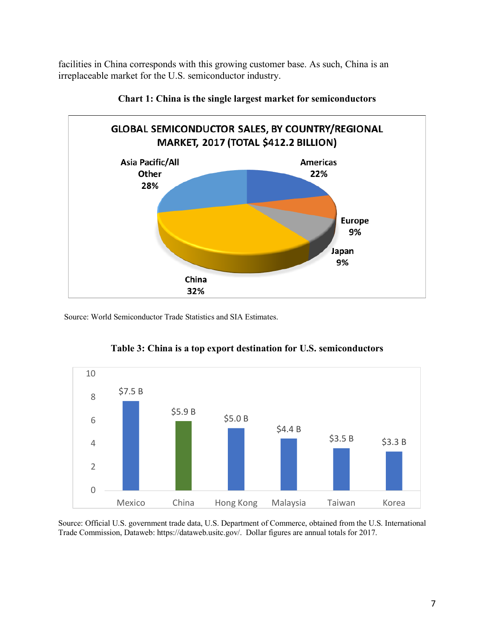facilities in China corresponds with this growing customer base. As such, China is an irreplaceable market for the U.S. semiconductor industry.

![](_page_6_Figure_1.jpeg)

![](_page_6_Figure_2.jpeg)

Source: World Semiconductor Trade Statistics and SIA Estimates.

![](_page_6_Figure_4.jpeg)

**Table 3: China is a top export destination for U.S. semiconductors**

Source: Official U.S. government trade data, U.S. Department of Commerce, obtained from the U.S. International Trade Commission, Dataweb: https://dataweb.usitc.gov/. Dollar figures are annual totals for 2017.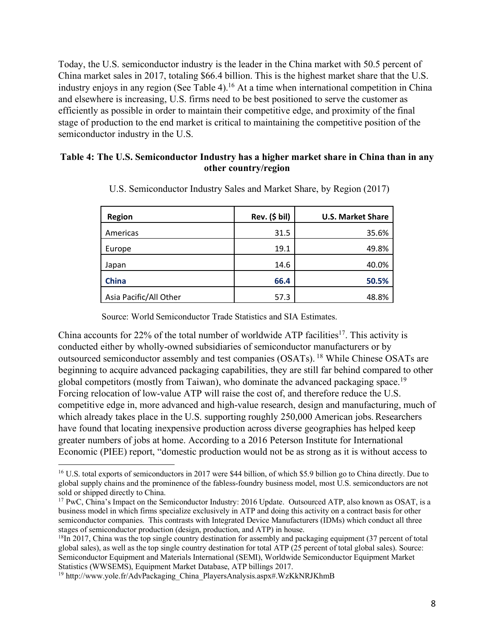Today, the U.S. semiconductor industry is the leader in the China market with 50.5 percent of China market sales in 2017, totaling \$66.4 billion. This is the highest market share that the U.S. industry enjoys in any region (See Table 4). <sup>16</sup> At a time when international competition in China and elsewhere is increasing, U.S. firms need to be best positioned to serve the customer as efficiently as possible in order to maintain their competitive edge, and proximity of the final stage of production to the end market is critical to maintaining the competitive position of the semiconductor industry in the U.S.

#### **Table 4: The U.S. Semiconductor Industry has a higher market share in China than in any other country/region**

| <b>Region</b>          | $Rev.$ (\$ bil) | <b>U.S. Market Share</b> |
|------------------------|-----------------|--------------------------|
| Americas               | 31.5            | 35.6%                    |
| Europe                 | 19.1            | 49.8%                    |
| Japan                  | 14.6            | 40.0%                    |
| <b>China</b>           | 66.4            | 50.5%                    |
| Asia Pacific/All Other | 57.3            | 48.8%                    |

U.S. Semiconductor Industry Sales and Market Share, by Region (2017)

Source: World Semiconductor Trade Statistics and SIA Estimates.

China accounts for 22% of the total number of worldwide ATP facilities<sup>17</sup>. This activity is conducted either by wholly-owned subsidiaries of semiconductor manufacturers or by outsourced semiconductor assembly and test companies (OSATs). <sup>18</sup> While Chinese OSATs are beginning to acquire advanced packaging capabilities, they are still far behind compared to other global competitors (mostly from Taiwan), who dominate the advanced packaging space.19 Forcing relocation of low-value ATP will raise the cost of, and therefore reduce the U.S. competitive edge in, more advanced and high-value research, design and manufacturing, much of which already takes place in the U.S. supporting roughly 250,000 American jobs. Researchers have found that locating inexpensive production across diverse geographies has helped keep greater numbers of jobs at home. According to a 2016 Peterson Institute for International Economic (PIEE) report, "domestic production would not be as strong as it is without access to

<sup>&</sup>lt;sup>16</sup> U.S. total exports of semiconductors in 2017 were \$44 billion, of which \$5.9 billion go to China directly. Due to global supply chains and the prominence of the fabless-foundry business model, most U.S. semiconductors are not sold or shipped directly to China.

<sup>&</sup>lt;sup>17</sup> PwC, China's Impact on the Semiconductor Industry: 2016 Update. Outsourced ATP, also known as OSAT, is a business model in which firms specialize exclusively in ATP and doing this activity on a contract basis for other semiconductor companies. This contrasts with Integrated Device Manufacturers (IDMs) which conduct all three stages of semiconductor production (design, production, and ATP) in house.

<sup>&</sup>lt;sup>18</sup>In 2017, China was the top single country destination for assembly and packaging equipment (37 percent of total global sales), as well as the top single country destination for total ATP (25 percent of total global sales). Source: Semiconductor Equipment and Materials International (SEMI), Worldwide Semiconductor Equipment Market Statistics (WWSEMS), Equipment Market Database, ATP billings 2017.

<sup>&</sup>lt;sup>19</sup> http://www.yole.fr/AdvPackaging\_China\_PlayersAnalysis.aspx#.WzKkNRJKhmB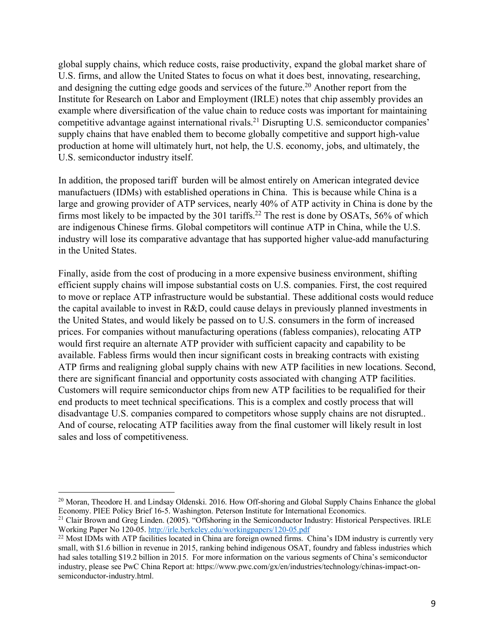global supply chains, which reduce costs, raise productivity, expand the global market share of U.S. firms, and allow the United States to focus on what it does best, innovating, researching, and designing the cutting edge goods and services of the future.<sup>20</sup> Another report from the Institute for Research on Labor and Employment (IRLE) notes that chip assembly provides an example where diversification of the value chain to reduce costs was important for maintaining competitive advantage against international rivals.21 Disrupting U.S. semiconductor companies' supply chains that have enabled them to become globally competitive and support high-value production at home will ultimately hurt, not help, the U.S. economy, jobs, and ultimately, the U.S. semiconductor industry itself.

In addition, the proposed tariff burden will be almost entirely on American integrated device manufactuers (IDMs) with established operations in China. This is because while China is a large and growing provider of ATP services, nearly 40% of ATP activity in China is done by the firms most likely to be impacted by the 301 tariffs.<sup>22</sup> The rest is done by OSATs, 56% of which are indigenous Chinese firms. Global competitors will continue ATP in China, while the U.S. industry will lose its comparative advantage that has supported higher value-add manufacturing in the United States.

Finally, aside from the cost of producing in a more expensive business environment, shifting efficient supply chains will impose substantial costs on U.S. companies. First, the cost required to move or replace ATP infrastructure would be substantial. These additional costs would reduce the capital available to invest in R&D, could cause delays in previously planned investments in the United States, and would likely be passed on to U.S. consumers in the form of increased prices. For companies without manufacturing operations (fabless companies), relocating ATP would first require an alternate ATP provider with sufficient capacity and capability to be available. Fabless firms would then incur significant costs in breaking contracts with existing ATP firms and realigning global supply chains with new ATP facilities in new locations. Second, there are significant financial and opportunity costs associated with changing ATP facilities. Customers will require semiconductor chips from new ATP facilities to be requalified for their end products to meet technical specifications. This is a complex and costly process that will disadvantage U.S. companies compared to competitors whose supply chains are not disrupted.. And of course, relocating ATP facilities away from the final customer will likely result in lost sales and loss of competitiveness.

<sup>&</sup>lt;sup>20</sup> Moran, Theodore H. and Lindsay Oldenski. 2016. How Off-shoring and Global Supply Chains Enhance the global Economy. PIEE Policy Brief 16-5. Washington. Peterson Institute for International Economics.

<sup>&</sup>lt;sup>21</sup> Clair Brown and Greg Linden. (2005). "Offshoring in the Semiconductor Industry: Historical Perspectives. IRLE Working Paper No 120-05. http://irle.berkeley.edu/workingpapers/120-05.pdf

<sup>&</sup>lt;sup>22</sup> Most IDMs with ATP facilities located in China are foreign owned firms. China's IDM industry is currently very small, with \$1.6 billion in revenue in 2015, ranking behind indigenous OSAT, foundry and fabless industries which had sales totalling \$19.2 billion in 2015. For more information on the various segments of China's semiconductor industry, please see PwC China Report at: https://www.pwc.com/gx/en/industries/technology/chinas-impact-onsemiconductor-industry.html.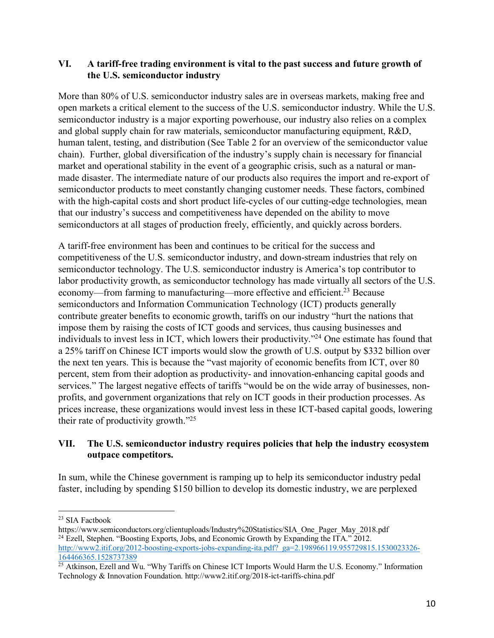### **VI. A tariff-free trading environment is vital to the past success and future growth of the U.S. semiconductor industry**

More than 80% of U.S. semiconductor industry sales are in overseas markets, making free and open markets a critical element to the success of the U.S. semiconductor industry. While the U.S. semiconductor industry is a major exporting powerhouse, our industry also relies on a complex and global supply chain for raw materials, semiconductor manufacturing equipment, R&D, human talent, testing, and distribution (See Table 2 for an overview of the semiconductor value chain). Further, global diversification of the industry's supply chain is necessary for financial market and operational stability in the event of a geographic crisis, such as a natural or manmade disaster. The intermediate nature of our products also requires the import and re-export of semiconductor products to meet constantly changing customer needs. These factors, combined with the high-capital costs and short product life-cycles of our cutting-edge technologies, mean that our industry's success and competitiveness have depended on the ability to move semiconductors at all stages of production freely, efficiently, and quickly across borders.

A tariff-free environment has been and continues to be critical for the success and competitiveness of the U.S. semiconductor industry, and down-stream industries that rely on semiconductor technology. The U.S. semiconductor industry is America's top contributor to labor productivity growth, as semiconductor technology has made virtually all sectors of the U.S. economy—from farming to manufacturing—more effective and efficient.<sup>23</sup> Because semiconductors and Information Communication Technology (ICT) products generally contribute greater benefits to economic growth, tariffs on our industry "hurt the nations that impose them by raising the costs of ICT goods and services, thus causing businesses and individuals to invest less in ICT, which lowers their productivity."24 One estimate has found that a 25% tariff on Chinese ICT imports would slow the growth of U.S. output by \$332 billion over the next ten years. This is because the "vast majority of economic benefits from ICT, over 80 percent, stem from their adoption as productivity- and innovation-enhancing capital goods and services." The largest negative effects of tariffs "would be on the wide array of businesses, nonprofits, and government organizations that rely on ICT goods in their production processes. As prices increase, these organizations would invest less in these ICT-based capital goods, lowering their rate of productivity growth."25

### **VII. The U.S. semiconductor industry requires policies that help the industry ecosystem outpace competitors.**

In sum, while the Chinese government is ramping up to help its semiconductor industry pedal faster, including by spending \$150 billion to develop its domestic industry, we are perplexed

<sup>&</sup>lt;sup>23</sup> SIA Factbook

https://www.semiconductors.org/clientuploads/Industry%20Statistics/SIA\_One\_Pager\_May\_2018.pdf <sup>24</sup> Ezell, Stephen. "Boosting Exports, Jobs, and Economic Growth by Expanding the ITA." 2012. http://www2.itif.org/2012-boosting-exports-jobs-expanding-ita.pdf?\_ga=2.198966119.955729815.1530023326- 164466365.1528737389

<sup>&</sup>lt;sup>25</sup> Atkinson, Ezell and Wu. "Why Tariffs on Chinese ICT Imports Would Harm the U.S. Economy." Information Technology & Innovation Foundation. http://www2.itif.org/2018-ict-tariffs-china.pdf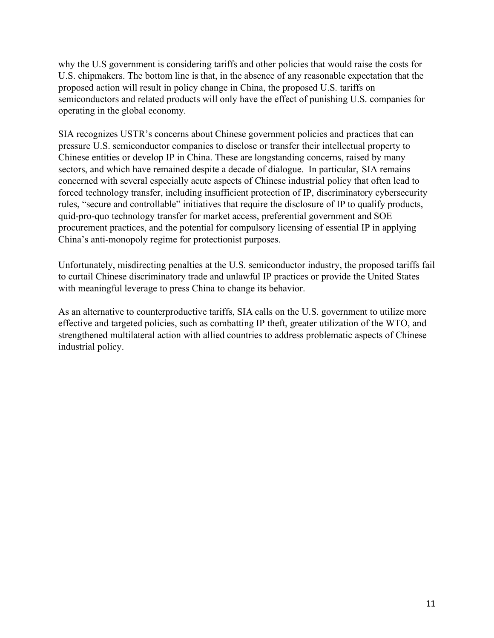why the U.S government is considering tariffs and other policies that would raise the costs for U.S. chipmakers. The bottom line is that, in the absence of any reasonable expectation that the proposed action will result in policy change in China, the proposed U.S. tariffs on semiconductors and related products will only have the effect of punishing U.S. companies for operating in the global economy.

SIA recognizes USTR's concerns about Chinese government policies and practices that can pressure U.S. semiconductor companies to disclose or transfer their intellectual property to Chinese entities or develop IP in China. These are longstanding concerns, raised by many sectors, and which have remained despite a decade of dialogue. In particular, SIA remains concerned with several especially acute aspects of Chinese industrial policy that often lead to forced technology transfer, including insufficient protection of IP, discriminatory cybersecurity rules, "secure and controllable" initiatives that require the disclosure of IP to qualify products, quid-pro-quo technology transfer for market access, preferential government and SOE procurement practices, and the potential for compulsory licensing of essential IP in applying China's anti-monopoly regime for protectionist purposes.

Unfortunately, misdirecting penalties at the U.S. semiconductor industry, the proposed tariffs fail to curtail Chinese discriminatory trade and unlawful IP practices or provide the United States with meaningful leverage to press China to change its behavior.

As an alternative to counterproductive tariffs, SIA calls on the U.S. government to utilize more effective and targeted policies, such as combatting IP theft, greater utilization of the WTO, and strengthened multilateral action with allied countries to address problematic aspects of Chinese industrial policy.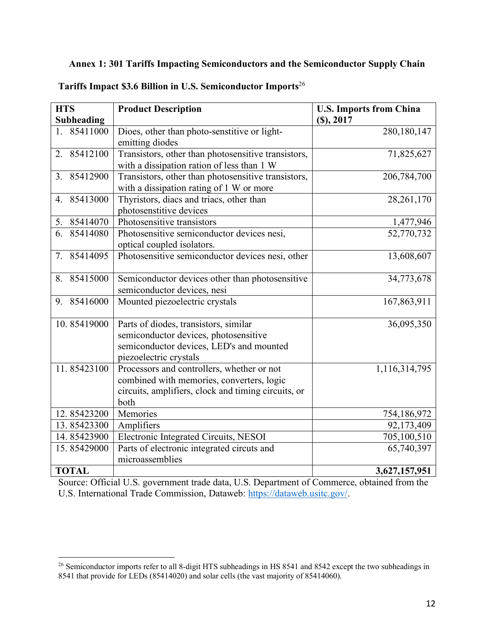## **Annex 1: 301 Tariffs Impacting Semiconductors and the Semiconductor Supply Chain**

| <b>HTS</b>                                   | <b>Product Description</b>                                                                                                                             | <b>U.S. Imports from China</b> |
|----------------------------------------------|--------------------------------------------------------------------------------------------------------------------------------------------------------|--------------------------------|
| <b>Subheading</b>                            |                                                                                                                                                        | (S), 2017                      |
| 85411000<br>1.                               | Dioes, other than photo-senstitive or light-<br>emitting diodes                                                                                        | 280,180,147                    |
| 85412100<br>$\overline{2}$ .                 | Transistors, other than photosensitive transistors,<br>with a dissipation ration of less than 1 W                                                      | 71,825,627                     |
| 85412900<br>3.                               | Transistors, other than photosensitive transistors,<br>with a dissipation rating of 1 W or more                                                        | 206,784,700                    |
| 85413000<br>4                                | Thyristors, diacs and triacs, other than<br>photosenstitive devices                                                                                    | 28,261,170                     |
| 5. 85414070                                  | Photosensitive transistors                                                                                                                             | 1,477,946                      |
| 6. 85414080                                  | Photosensitive semiconductor devices nesi,<br>optical coupled isolators.                                                                               | 52,770,732                     |
| 85414095<br>$7_{\scriptscriptstyle{\ddots}}$ | Photosensitive semiconductor devices nesi, other                                                                                                       | 13,608,607                     |
| 85415000<br>8.                               | Semiconductor devices other than photosensitive<br>semiconductor devices, nesi                                                                         | 34,773,678                     |
| 85416000<br>9.                               | Mounted piezoelectric crystals                                                                                                                         | 167,863,911                    |
| 10.85419000                                  | Parts of diodes, transistors, similar<br>semiconductor devices, photosensitive<br>semiconductor devices, LED's and mounted<br>piezoelectric crystals   | 36,095,350                     |
| 11.85423100                                  | Processors and controllers, whether or not<br>combined with memories, converters, logic<br>circuits, amplifiers, clock and timing circuits, or<br>both | 1,116,314,795                  |
| 12.85423200                                  | Memories                                                                                                                                               | 754,186,972                    |
| 13.85423300                                  | Amplifiers                                                                                                                                             | 92,173,409                     |
| 14.85423900                                  | Electronic Integrated Circuits, NESOI                                                                                                                  | 705,100,510                    |
| 15.85429000                                  | Parts of electronic integrated circuts and<br>microassemblies                                                                                          | 65,740,397                     |
| <b>TOTAL</b>                                 |                                                                                                                                                        | 3,627,157,951                  |

**Tariffs Impact \$3.6 Billion in U.S. Semiconductor Imports**<sup>26</sup>

Source: Official U.S. government trade data, U.S. Department of Commerce, obtained from the U.S. International Trade Commission, Dataweb: https://dataweb.usitc.gov/.

<sup>&</sup>lt;sup>26</sup> Semiconductor imports refer to all 8-digit HTS subheadings in HS 8541 and 8542 except the two subheadings in 8541 that provide for LEDs (85414020) and solar cells (the vast majority of 85414060).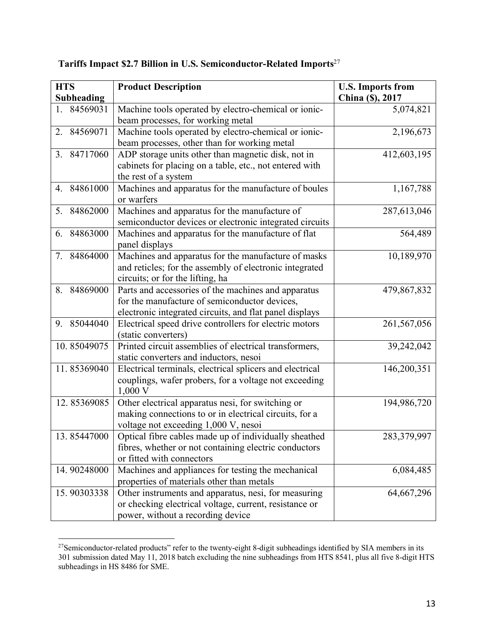| <b>HTS</b>        | <b>Product Description</b>                               | <b>U.S. Imports from</b> |
|-------------------|----------------------------------------------------------|--------------------------|
| <b>Subheading</b> |                                                          | China (\$), 2017         |
| 84569031          | Machine tools operated by electro-chemical or ionic-     | 5,074,821                |
|                   | beam processes, for working metal                        |                          |
| 2. 84569071       | Machine tools operated by electro-chemical or ionic-     | 2,196,673                |
|                   | beam processes, other than for working metal             |                          |
| 3. 84717060       | ADP storage units other than magnetic disk, not in       | 412,603,195              |
|                   | cabinets for placing on a table, etc., not entered with  |                          |
|                   | the rest of a system                                     |                          |
| 4. 84861000       | Machines and apparatus for the manufacture of boules     | 1,167,788                |
|                   | or warfers                                               |                          |
| 5. 84862000       | Machines and apparatus for the manufacture of            | 287,613,046              |
|                   | semiconductor devices or electronic integrated circuits  |                          |
| 84863000<br>6.    | Machines and apparatus for the manufacture of flat       | 564,489                  |
|                   | panel displays                                           |                          |
| 84864000<br>7.    | Machines and apparatus for the manufacture of masks      | 10,189,970               |
|                   | and reticles; for the assembly of electronic integrated  |                          |
|                   | circuits; or for the lifting, ha                         |                          |
| 84869000<br>8.    | Parts and accessories of the machines and apparatus      | 479,867,832              |
|                   | for the manufacture of semiconductor devices,            |                          |
|                   | electronic integrated circuits, and flat panel displays  |                          |
| 9. 85044040       | Electrical speed drive controllers for electric motors   | 261,567,056              |
|                   | (static converters)                                      |                          |
| 10.85049075       | Printed circuit assemblies of electrical transformers,   | 39,242,042               |
|                   | static converters and inductors, nesoi                   |                          |
| 11.85369040       | Electrical terminals, electrical splicers and electrical | 146,200,351              |
|                   | couplings, wafer probers, for a voltage not exceeding    |                          |
|                   | 1,000 V                                                  |                          |
| 12.85369085       | Other electrical apparatus nesi, for switching or        | 194,986,720              |
|                   | making connections to or in electrical circuits, for a   |                          |
|                   | voltage not exceeding 1,000 V, nesoi                     |                          |
| 13.85447000       | Optical fibre cables made up of individually sheathed    | 283,379,997              |
|                   | fibres, whether or not containing electric conductors    |                          |
|                   | or fitted with connectors                                |                          |
| 14.90248000       | Machines and appliances for testing the mechanical       | 6,084,485                |
|                   | properties of materials other than metals                |                          |
| 15.90303338       | Other instruments and apparatus, nesi, for measuring     | 64,667,296               |
|                   | or checking electrical voltage, current, resistance or   |                          |
|                   | power, without a recording device                        |                          |

## **Tariffs Impact \$2.7 Billion in U.S. Semiconductor-Related Imports**<sup>27</sup>

<sup>&</sup>lt;sup>27</sup>Semiconductor-related products" refer to the twenty-eight 8-digit subheadings identified by SIA members in its 301 submission dated May 11, 2018 batch excluding the nine subheadings from HTS 8541, plus all five 8-digit HTS subheadings in HS 8486 for SME.